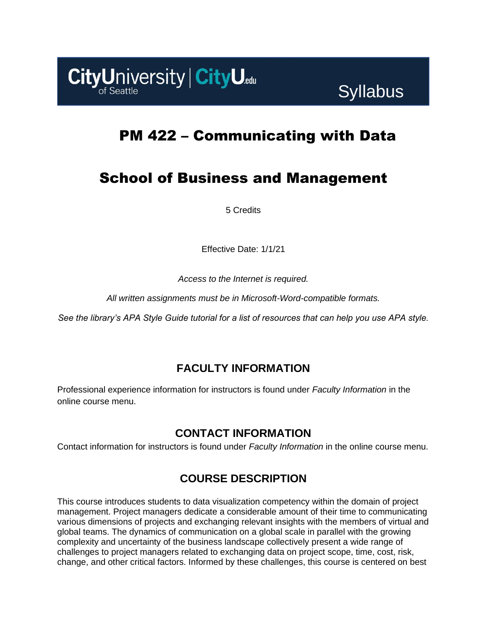

# PM 422 – Communicating with Data

# School of Business and Management

5 Credits

Effective Date: 1/1/21

*Access to the Internet is required.*

*All written assignments must be in Microsoft-Word-compatible formats.*

*See the library's APA Style Guide tutorial for a list of resources that can help you use APA style.*

# **FACULTY INFORMATION**

Professional experience information for instructors is found under *Faculty Information* in the online course menu.

# **CONTACT INFORMATION**

Contact information for instructors is found under *Faculty Information* in the online course menu.

# **COURSE DESCRIPTION**

This course introduces students to data visualization competency within the domain of project management. Project managers dedicate a considerable amount of their time to communicating various dimensions of projects and exchanging relevant insights with the members of virtual and global teams. The dynamics of communication on a global scale in parallel with the growing complexity and uncertainty of the business landscape collectively present a wide range of challenges to project managers related to exchanging data on project scope, time, cost, risk, change, and other critical factors. Informed by these challenges, this course is centered on best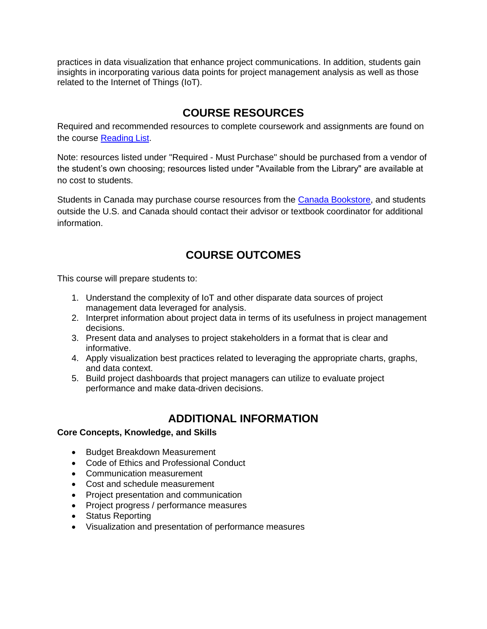practices in data visualization that enhance project communications. In addition, students gain insights in incorporating various data points for project management analysis as well as those related to the Internet of Things (IoT).

# **COURSE RESOURCES**

Required and recommended resources to complete coursework and assignments are found on the course [Reading List.](https://cityu.alma.exlibrisgroup.com/leganto/login?auth=SAML)

Note: resources listed under "Required - Must Purchase" should be purchased from a vendor of the student's own choosing; resources listed under "Available from the Library" are available at no cost to students.

Students in Canada may purchase course resources from the [Canada Bookstore,](https://www.cityubookstore.ca/index.asp) and students outside the U.S. and Canada should contact their advisor or textbook coordinator for additional information.

# **COURSE OUTCOMES**

This course will prepare students to:

- 1. Understand the complexity of IoT and other disparate data sources of project management data leveraged for analysis.
- 2. Interpret information about project data in terms of its usefulness in project management decisions.
- 3. Present data and analyses to project stakeholders in a format that is clear and informative.
- 4. Apply visualization best practices related to leveraging the appropriate charts, graphs, and data context.
- 5. Build project dashboards that project managers can utilize to evaluate project performance and make data-driven decisions.

# **ADDITIONAL INFORMATION**

#### **Core Concepts, Knowledge, and Skills**

- Budget Breakdown Measurement
- Code of Ethics and Professional Conduct
- Communication measurement
- Cost and schedule measurement
- Project presentation and communication
- Project progress / performance measures
- Status Reporting
- Visualization and presentation of performance measures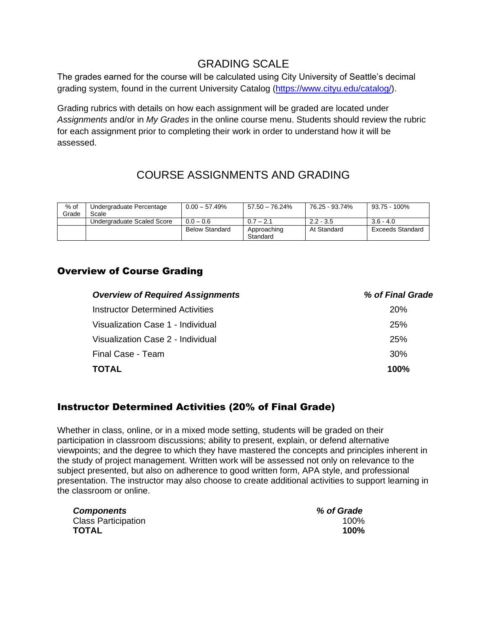# GRADING SCALE

The grades earned for the course will be calculated using City University of Seattle's decimal grading system, found in the current University Catalog [\(https://www.cityu.edu/catalog/\)](https://www.cityu.edu/catalog/).

Grading rubrics with details on how each assignment will be graded are located under *Assignments* and/or in *My Grades* in the online course menu. Students should review the rubric for each assignment prior to completing their work in order to understand how it will be assessed.

# COURSE ASSIGNMENTS AND GRADING

| $%$ of<br>Grade | Undergraduate Percentage<br>Scale | $0.00 - 57.49%$       | $57.50 - 76.24\%$       | 76.25 - 93.74% | 93.75 - 100%     |
|-----------------|-----------------------------------|-----------------------|-------------------------|----------------|------------------|
|                 | Undergraduate Scaled Score        | $0.0 - 0.6$           | $0.7 - 2.1$             | $2.2 - 3.5$    | $3.6 - 4.0$      |
|                 |                                   | <b>Below Standard</b> | Approaching<br>Standard | At Standard    | Exceeds Standard |

### Overview of Course Grading

| <b>Overview of Required Assignments</b> | % of Final Grade |
|-----------------------------------------|------------------|
| Instructor Determined Activities        | <b>20%</b>       |
| Visualization Case 1 - Individual       | <b>25%</b>       |
| Visualization Case 2 - Individual       | <b>25%</b>       |
| Final Case - Team                       | 30%              |
| <b>TOTAL</b>                            | 100%             |
|                                         |                  |

### Instructor Determined Activities (20% of Final Grade)

Whether in class, online, or in a mixed mode setting, students will be graded on their participation in classroom discussions; ability to present, explain, or defend alternative viewpoints; and the degree to which they have mastered the concepts and principles inherent in the study of project management. Written work will be assessed not only on relevance to the subject presented, but also on adherence to good written form, APA style, and professional presentation. The instructor may also choose to create additional activities to support learning in the classroom or online.

| <b>Components</b>          | % of Grade |
|----------------------------|------------|
| <b>Class Participation</b> | 100%       |
| TOTAL                      | 100%       |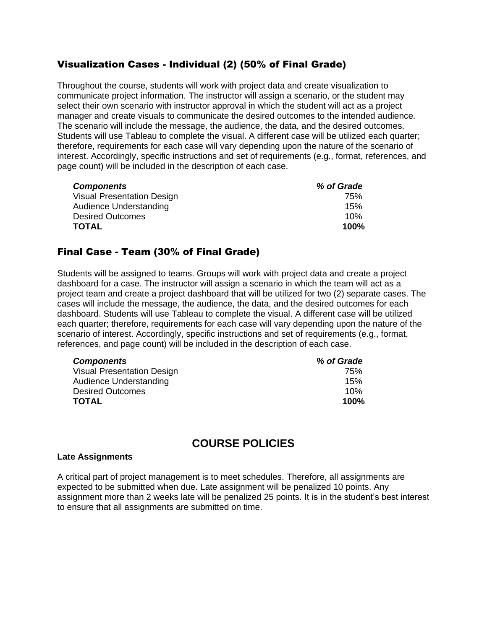### Visualization Cases - Individual (2) (50% of Final Grade)

Throughout the course, students will work with project data and create visualization to communicate project information. The instructor will assign a scenario, or the student may select their own scenario with instructor approval in which the student will act as a project manager and create visuals to communicate the desired outcomes to the intended audience. The scenario will include the message, the audience, the data, and the desired outcomes. Students will use Tableau to complete the visual. A different case will be utilized each quarter; therefore, requirements for each case will vary depending upon the nature of the scenario of interest. Accordingly, specific instructions and set of requirements (e.g., format, references, and page count) will be included in the description of each case.

| <b>Components</b>                 | % of Grade |
|-----------------------------------|------------|
| <b>Visual Presentation Design</b> | 75%        |
| Audience Understanding            | 15%        |
| <b>Desired Outcomes</b>           | 10%        |
| <b>TOTAL</b>                      | $100\%$    |

### Final Case - Team (30% of Final Grade)

Students will be assigned to teams. Groups will work with project data and create a project dashboard for a case. The instructor will assign a scenario in which the team will act as a project team and create a project dashboard that will be utilized for two (2) separate cases. The cases will include the message, the audience, the data, and the desired outcomes for each dashboard. Students will use Tableau to complete the visual. A different case will be utilized each quarter; therefore, requirements for each case will vary depending upon the nature of the scenario of interest. Accordingly, specific instructions and set of requirements (e.g., format, references, and page count) will be included in the description of each case.

| <b>Components</b>                 | % of Grade |
|-----------------------------------|------------|
| <b>Visual Presentation Design</b> | 75%        |
| Audience Understanding            | 15%        |
| <b>Desired Outcomes</b>           | 10%        |
| <b>TOTAL</b>                      | 100%       |

# **COURSE POLICIES**

#### **Late Assignments**

A critical part of project management is to meet schedules. Therefore, all assignments are expected to be submitted when due. Late assignment will be penalized 10 points. Any assignment more than 2 weeks late will be penalized 25 points. It is in the student's best interest to ensure that all assignments are submitted on time.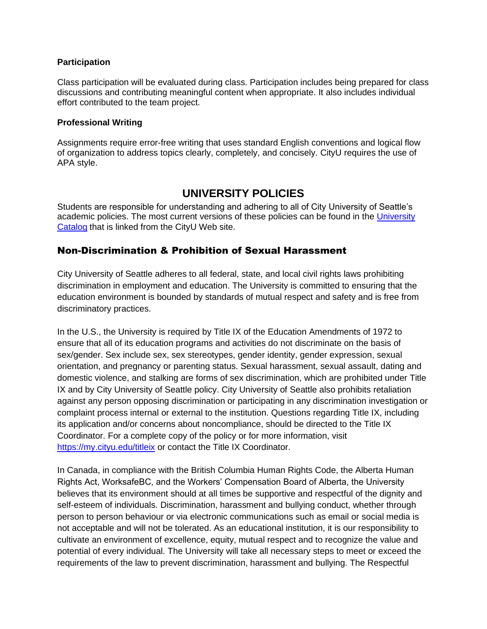#### **Participation**

Class participation will be evaluated during class. Participation includes being prepared for class discussions and contributing meaningful content when appropriate. It also includes individual effort contributed to the team project.

#### **Professional Writing**

Assignments require error-free writing that uses standard English conventions and logical flow of organization to address topics clearly, completely, and concisely. CityU requires the use of APA style.

### **UNIVERSITY POLICIES**

Students are responsible for understanding and adhering to all of City University of Seattle's academic policies. The most current versions of these policies can be found in the [University](http://www.cityu.edu/catalog/)  [Catalog](http://www.cityu.edu/catalog/) that is linked from the CityU Web site.

### Non-Discrimination & Prohibition of Sexual Harassment

City University of Seattle adheres to all federal, state, and local civil rights laws prohibiting discrimination in employment and education. The University is committed to ensuring that the education environment is bounded by standards of mutual respect and safety and is free from discriminatory practices.

In the U.S., the University is required by Title IX of the Education Amendments of 1972 to ensure that all of its education programs and activities do not discriminate on the basis of sex/gender. Sex include sex, sex stereotypes, gender identity, gender expression, sexual orientation, and pregnancy or parenting status. Sexual harassment, sexual assault, dating and domestic violence, and stalking are forms of sex discrimination, which are prohibited under Title IX and by City University of Seattle policy. City University of Seattle also prohibits retaliation against any person opposing discrimination or participating in any discrimination investigation or complaint process internal or external to the institution. Questions regarding Title IX, including its application and/or concerns about noncompliance, should be directed to the Title IX Coordinator. For a complete copy of the policy or for more information, visit <https://my.cityu.edu/titleix> or contact the Title IX Coordinator.

In Canada, in compliance with the British Columbia Human Rights Code, the Alberta Human Rights Act, WorksafeBC, and the Workers' Compensation Board of Alberta, the University believes that its environment should at all times be supportive and respectful of the dignity and self-esteem of individuals. Discrimination, harassment and bullying conduct, whether through person to person behaviour or via electronic communications such as email or social media is not acceptable and will not be tolerated. As an educational institution, it is our responsibility to cultivate an environment of excellence, equity, mutual respect and to recognize the value and potential of every individual. The University will take all necessary steps to meet or exceed the requirements of the law to prevent discrimination, harassment and bullying. The Respectful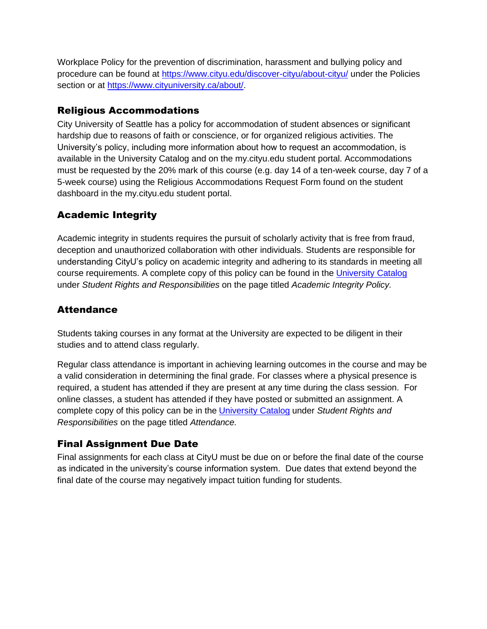Workplace Policy for the prevention of discrimination, harassment and bullying policy and procedure can be found at<https://www.cityu.edu/discover-cityu/about-cityu/> under the Policies section or at [https://www.cityuniversity.ca/about/.](https://www.cityuniversity.ca/about/)

### Religious Accommodations

City University of Seattle has a policy for accommodation of student absences or significant hardship due to reasons of faith or conscience, or for organized religious activities. The University's policy, including more information about how to request an accommodation, is available in the University Catalog and on the my.cityu.edu student portal. Accommodations must be requested by the 20% mark of this course (e.g. day 14 of a ten-week course, day 7 of a 5-week course) using the Religious Accommodations Request Form found on the student dashboard in the my.cityu.edu student portal.

# Academic Integrity

Academic integrity in students requires the pursuit of scholarly activity that is free from fraud, deception and unauthorized collaboration with other individuals. Students are responsible for understanding CityU's policy on academic integrity and adhering to its standards in meeting all course requirements. A complete copy of this policy can be found in the [University Catalog](http://www.cityu.edu/catalog/) under *Student Rights and Responsibilities* on the page titled *Academic Integrity Policy.* 

### **Attendance**

Students taking courses in any format at the University are expected to be diligent in their studies and to attend class regularly.

Regular class attendance is important in achieving learning outcomes in the course and may be a valid consideration in determining the final grade. For classes where a physical presence is required, a student has attended if they are present at any time during the class session. For online classes, a student has attended if they have posted or submitted an assignment. A complete copy of this policy can be in the [University Catalog](http://www.cityu.edu/catalog/) under *Student Rights and Responsibilities* on the page titled *Attendance.*

### Final Assignment Due Date

Final assignments for each class at CityU must be due on or before the final date of the course as indicated in the university's course information system. Due dates that extend beyond the final date of the course may negatively impact tuition funding for students.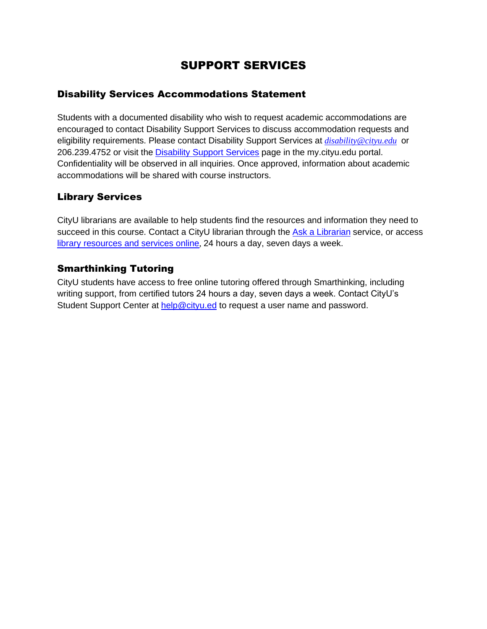# SUPPORT SERVICES

### Disability Services Accommodations Statement

Students with a documented disability who wish to request academic accommodations are encouraged to contact Disability Support Services to discuss accommodation requests and eligibility requirements. Please contact Disability Support Services at *[disability@cityu.edu](mailto:disability@cityu.edu)* or 206.239.4752 or visit the [Disability Support Services](https://my.cityu.edu/department/disability-support-services/) page in the my.cityu.edu portal. Confidentiality will be observed in all inquiries. Once approved, information about academic accommodations will be shared with course instructors.

### Library Services

CityU librarians are available to help students find the resources and information they need to succeed in this course. Contact a CityU librarian through the [Ask a Librarian](http://library.cityu.edu/ask-a-librarian/) service, or access [library resources and services online](http://library.cityu.edu/), 24 hours a day, seven days a week.

### Smarthinking Tutoring

CityU students have access to free online tutoring offered through Smarthinking, including writing support, from certified tutors 24 hours a day, seven days a week. Contact CityU's Student Support Center at [help@cityu.ed](mailto:help@cityu.ed) to request a user name and password.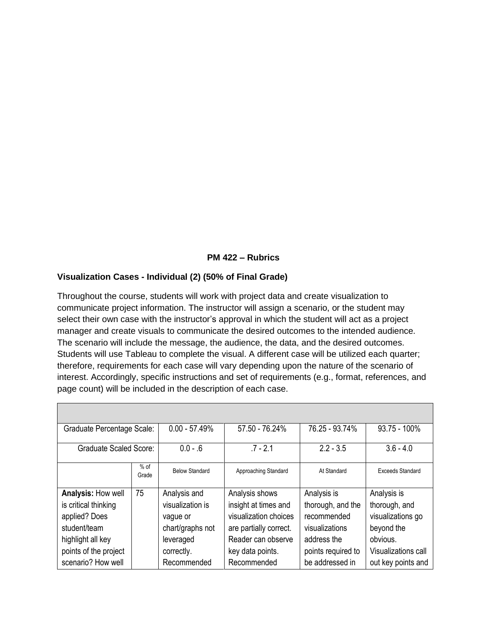#### **PM 422 – Rubrics**

#### **Visualization Cases - Individual (2) (50% of Final Grade)**

Throughout the course, students will work with project data and create visualization to communicate project information. The instructor will assign a scenario, or the student may select their own case with the instructor's approval in which the student will act as a project manager and create visuals to communicate the desired outcomes to the intended audience. The scenario will include the message, the audience, the data, and the desired outcomes. Students will use Tableau to complete the visual. A different case will be utilized each quarter; therefore, requirements for each case will vary depending upon the nature of the scenario of interest. Accordingly, specific instructions and set of requirements (e.g., format, references, and page count) will be included in the description of each case.

| <b>Graduate Percentage Scale:</b> |                 | $0.00 - 57.49%$       | 57.50 - 76.24%         | 76.25 - 93.74%     | 93.75 - 100%        |
|-----------------------------------|-----------------|-----------------------|------------------------|--------------------|---------------------|
| <b>Graduate Scaled Score:</b>     |                 | $0.0 - .6$            | $.7 - 2.1$             | $2.2 - 3.5$        | $3.6 - 4.0$         |
|                                   | $%$ of<br>Grade | <b>Below Standard</b> | Approaching Standard   | At Standard        | Exceeds Standard    |
| Analysis: How well                | 75              | Analysis and          | Analysis shows         | Analysis is        | Analysis is         |
| is critical thinking              |                 | visualization is      | insight at times and   | thorough, and the  | thorough, and       |
| applied? Does                     |                 | vague or              | visualization choices  | recommended        | visualizations go   |
| student/team                      |                 | chart/graphs not      | are partially correct. | visualizations     | beyond the          |
| highlight all key                 |                 | leveraged             | Reader can observe     | address the        | obvious.            |
| points of the project             |                 | correctly.            | key data points.       | points required to | Visualizations call |
| scenario? How well                |                 | Recommended           | Recommended            | be addressed in    | out key points and  |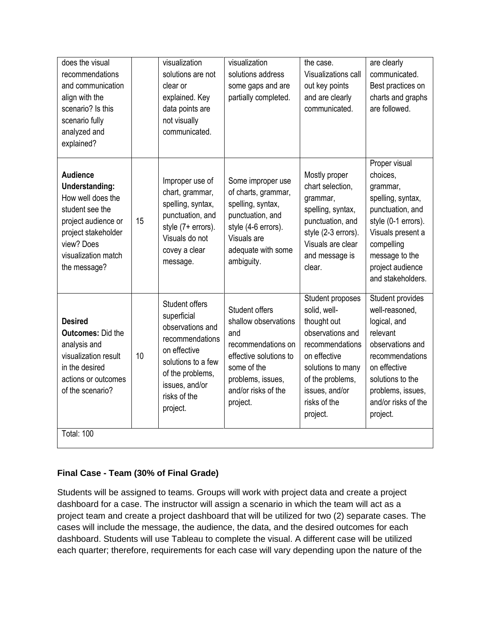| does the visual<br>recommendations<br>and communication<br>align with the<br>scenario? Is this<br>scenario fully<br>analyzed and<br>explained?                               |    | visualization<br>solutions are not<br>clear or<br>explained. Key<br>data points are<br>not visually<br>communicated.                                                         | visualization<br>solutions address<br>some gaps and are<br>partially completed.                                                                                      | the case.<br>Visualizations call<br>out key points<br>and are clearly<br>communicated.                                                                                                        | are clearly<br>communicated.<br>Best practices on<br>charts and graphs<br>are followed.                                                                                                             |
|------------------------------------------------------------------------------------------------------------------------------------------------------------------------------|----|------------------------------------------------------------------------------------------------------------------------------------------------------------------------------|----------------------------------------------------------------------------------------------------------------------------------------------------------------------|-----------------------------------------------------------------------------------------------------------------------------------------------------------------------------------------------|-----------------------------------------------------------------------------------------------------------------------------------------------------------------------------------------------------|
| <b>Audience</b><br>Understanding:<br>How well does the<br>student see the<br>project audience or<br>project stakeholder<br>view? Does<br>visualization match<br>the message? | 15 | Improper use of<br>chart, grammar,<br>spelling, syntax,<br>punctuation, and<br>style (7+ errors).<br>Visuals do not<br>covey a clear<br>message.                             | Some improper use<br>of charts, grammar,<br>spelling, syntax,<br>punctuation, and<br>style (4-6 errors).<br>Visuals are<br>adequate with some<br>ambiguity.          | Mostly proper<br>chart selection,<br>grammar,<br>spelling, syntax,<br>punctuation, and<br>style (2-3 errors).<br>Visuals are clear<br>and message is<br>clear.                                | Proper visual<br>choices,<br>grammar,<br>spelling, syntax,<br>punctuation, and<br>style (0-1 errors).<br>Visuals present a<br>compelling<br>message to the<br>project audience<br>and stakeholders. |
| <b>Desired</b><br><b>Outcomes: Did the</b><br>analysis and<br>visualization result<br>in the desired<br>actions or outcomes<br>of the scenario?                              | 10 | Student offers<br>superficial<br>observations and<br>recommendations<br>on effective<br>solutions to a few<br>of the problems,<br>issues, and/or<br>risks of the<br>project. | Student offers<br>shallow observations<br>and<br>recommendations on<br>effective solutions to<br>some of the<br>problems, issues,<br>and/or risks of the<br>project. | Student proposes<br>solid, well-<br>thought out<br>observations and<br>recommendations<br>on effective<br>solutions to many<br>of the problems,<br>issues, and/or<br>risks of the<br>project. | Student provides<br>well-reasoned,<br>logical, and<br>relevant<br>observations and<br>recommendations<br>on effective<br>solutions to the<br>problems, issues,<br>and/or risks of the<br>project.   |
| <b>Total: 100</b>                                                                                                                                                            |    |                                                                                                                                                                              |                                                                                                                                                                      |                                                                                                                                                                                               |                                                                                                                                                                                                     |

#### **Final Case - Team (30% of Final Grade)**

Students will be assigned to teams. Groups will work with project data and create a project dashboard for a case. The instructor will assign a scenario in which the team will act as a project team and create a project dashboard that will be utilized for two (2) separate cases. The cases will include the message, the audience, the data, and the desired outcomes for each dashboard. Students will use Tableau to complete the visual. A different case will be utilized each quarter; therefore, requirements for each case will vary depending upon the nature of the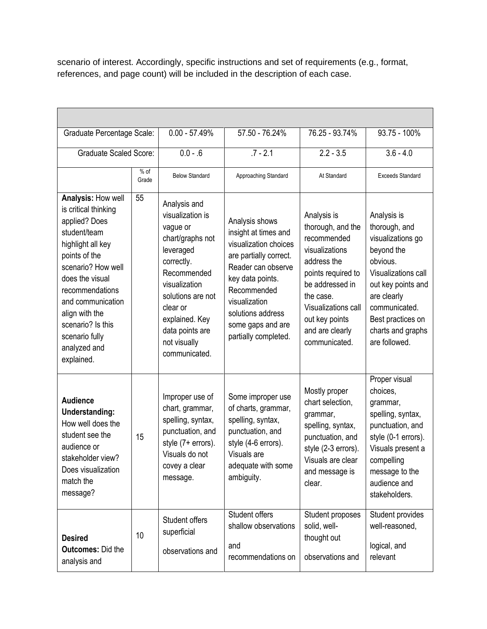scenario of interest. Accordingly, specific instructions and set of requirements (e.g., format, references, and page count) will be included in the description of each case.

| Graduate Percentage Scale:                                                                                                                                                                                                                                                                |                 | $0.00 - 57.49%$                                                                                                                                                                                                                    | 57.50 - 76.24%                                                                                                                                                                                                                        | 76.25 - 93.74%                                                                                                                                                                                                      | 93.75 - 100%                                                                                                                                                                                                        |  |
|-------------------------------------------------------------------------------------------------------------------------------------------------------------------------------------------------------------------------------------------------------------------------------------------|-----------------|------------------------------------------------------------------------------------------------------------------------------------------------------------------------------------------------------------------------------------|---------------------------------------------------------------------------------------------------------------------------------------------------------------------------------------------------------------------------------------|---------------------------------------------------------------------------------------------------------------------------------------------------------------------------------------------------------------------|---------------------------------------------------------------------------------------------------------------------------------------------------------------------------------------------------------------------|--|
| <b>Graduate Scaled Score:</b>                                                                                                                                                                                                                                                             |                 | $0.0 - .6$                                                                                                                                                                                                                         | $.7 - 2.1$                                                                                                                                                                                                                            | $2.2 - 3.5$                                                                                                                                                                                                         | $3.6 - 4.0$                                                                                                                                                                                                         |  |
|                                                                                                                                                                                                                                                                                           | $%$ of<br>Grade | <b>Below Standard</b>                                                                                                                                                                                                              | Approaching Standard                                                                                                                                                                                                                  | At Standard                                                                                                                                                                                                         | <b>Exceeds Standard</b>                                                                                                                                                                                             |  |
| Analysis: How well<br>is critical thinking<br>applied? Does<br>student/team<br>highlight all key<br>points of the<br>scenario? How well<br>does the visual<br>recommendations<br>and communication<br>align with the<br>scenario? Is this<br>scenario fully<br>analyzed and<br>explained. | 55              | Analysis and<br>visualization is<br>vague or<br>chart/graphs not<br>leveraged<br>correctly.<br>Recommended<br>visualization<br>solutions are not<br>clear or<br>explained. Key<br>data points are<br>not visually<br>communicated. | Analysis shows<br>insight at times and<br>visualization choices<br>are partially correct.<br>Reader can observe<br>key data points.<br>Recommended<br>visualization<br>solutions address<br>some gaps and are<br>partially completed. | Analysis is<br>thorough, and the<br>recommended<br>visualizations<br>address the<br>points required to<br>be addressed in<br>the case.<br>Visualizations call<br>out key points<br>and are clearly<br>communicated. | Analysis is<br>thorough, and<br>visualizations go<br>beyond the<br>obvious.<br>Visualizations call<br>out key points and<br>are clearly<br>communicated.<br>Best practices on<br>charts and graphs<br>are followed. |  |
| <b>Audience</b><br>Understanding:<br>How well does the<br>student see the<br>audience or<br>stakeholder view?<br>Does visualization<br>match the<br>message?                                                                                                                              | 15              | Improper use of<br>chart, grammar,<br>spelling, syntax,<br>punctuation, and<br>style (7+ errors).<br>Visuals do not<br>covey a clear<br>message.                                                                                   | Some improper use<br>of charts, grammar,<br>spelling, syntax,<br>punctuation, and<br>style (4-6 errors).<br>Visuals are<br>adequate with some<br>ambiguity.                                                                           | Mostly proper<br>chart selection,<br>grammar,<br>spelling, syntax,<br>punctuation, and<br>style (2-3 errors).<br>Visuals are clear<br>and message is<br>clear.                                                      | Proper visual<br>choices,<br>grammar,<br>spelling, syntax,<br>punctuation, and<br>style (0-1 errors).<br>Visuals present a<br>compelling<br>message to the<br>audience and<br>stakeholders.                         |  |
| <b>Desired</b><br><b>Outcomes: Did the</b><br>analysis and                                                                                                                                                                                                                                | 10              | Student offers<br>superficial<br>observations and                                                                                                                                                                                  | Student offers<br>shallow observations<br>and<br>recommendations on                                                                                                                                                                   | Student proposes<br>solid, well-<br>thought out<br>observations and                                                                                                                                                 | Student provides<br>well-reasoned,<br>logical, and<br>relevant                                                                                                                                                      |  |